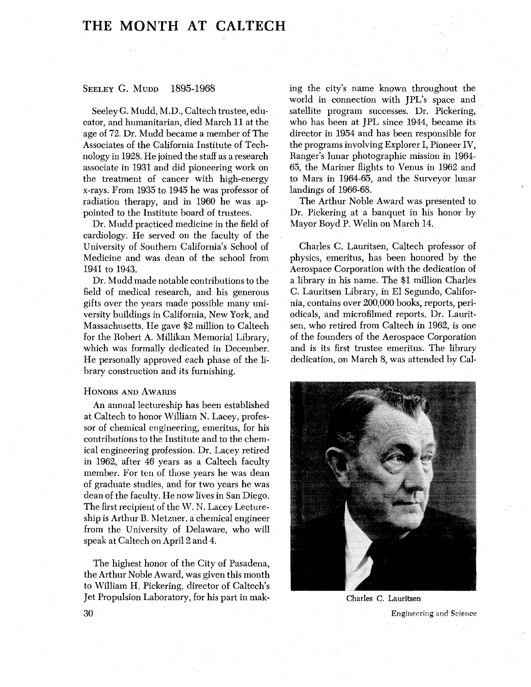## THE MONTH AT CALTECH

## SEELEY G. MUDD 1895-1968

Seeley G. Mudd, M.D., Caltech trustee, educator, and humanitarian, died March 11 at the age of 72. Dr. Mudd became a member of The Associates of the California Institute of Technology in 1928. He joined the staff as a research associate in 1931 and did pioneering work on the treatment of cancer with high-energy x-rays. From 1935 to 1945 he was professor of radiation therapy, and in 1960 he was appointed to the Institute board of trustees.

Dr. Mudd practiced medicine in the field of cardiology. He served on the faculty of the University of Southern California's School of Medicine and was dean of the school from 1941 to 1943.

Dr. Mudd made notable contributions to the field of medical research, and his generous gifts over the years made possible many university buildings in California, New York, and Massachusetts. He gave \$2 million to Caltech for the Robert A. Millikan Memorial Library, which was formally dedicated in December. He personally approved each phase of the library construction and its furnishing.

## **HONORS AND AWARDS**

An annual lectureship has been established at Caltech to honor William N. Lacey, professor of chemical engineering, emeritus, for his contributions to the Institute and to the chemical engineering profession. Dr. Lacey retired in 1962, after 46 years as a Caltech faculty member. For ten of those years he was dean of graduate studies, and for two years he was dean of the faculty. He now lives in San Diego. The first recipient of the W. N. Lacey Lectureship is Arthur B. Metzner, a chemical engineer from the University of Delaware, who will speak at Caltech on April 2 and 4.

The highest honor of the City of Pasadena, the Arthur Noble Award, was given this month to William H. Pickering, director of Caltech's Jet Propulsion Laboratory, for his part in making the city's name known throughout the world in connection with JPL's space and satellite program successes. Dr. Pickering, who has been at JPL since 1944, became its director in 1954 and has been responsible for the programs involving Explorer I, Pioneer IV, Ranger's lunar photographic mission in 1964- 65, the Mariner flights to Venus in 1962 and to Mars in 1964-65, and the Surveyor lunar landings of 1966-68.

The Arthur Noble Award was presented to Dr. Pickering at a banquet in his honor by Mayor Boyd P. Welin on March 14.

Charles C. Lauritsen, Caltech professor of physics, emeritus, has been honored by the Aerospace Corporation with the dedication of a library in his name. The \$1 million Charles C. Lauritsen Library, in El Segundo, California, contains over 200,000 books, reports, periodicals, and microfilmed reports. Dr. Lauritsen, who retired from Caltech in 1962, is one of the founders of the Aerospace Corporation and is its first trustee emeritus. The library dedication, on March 8, was attended by Cal-



**Charles** C. **Lauritsen** 

Engineering and Science